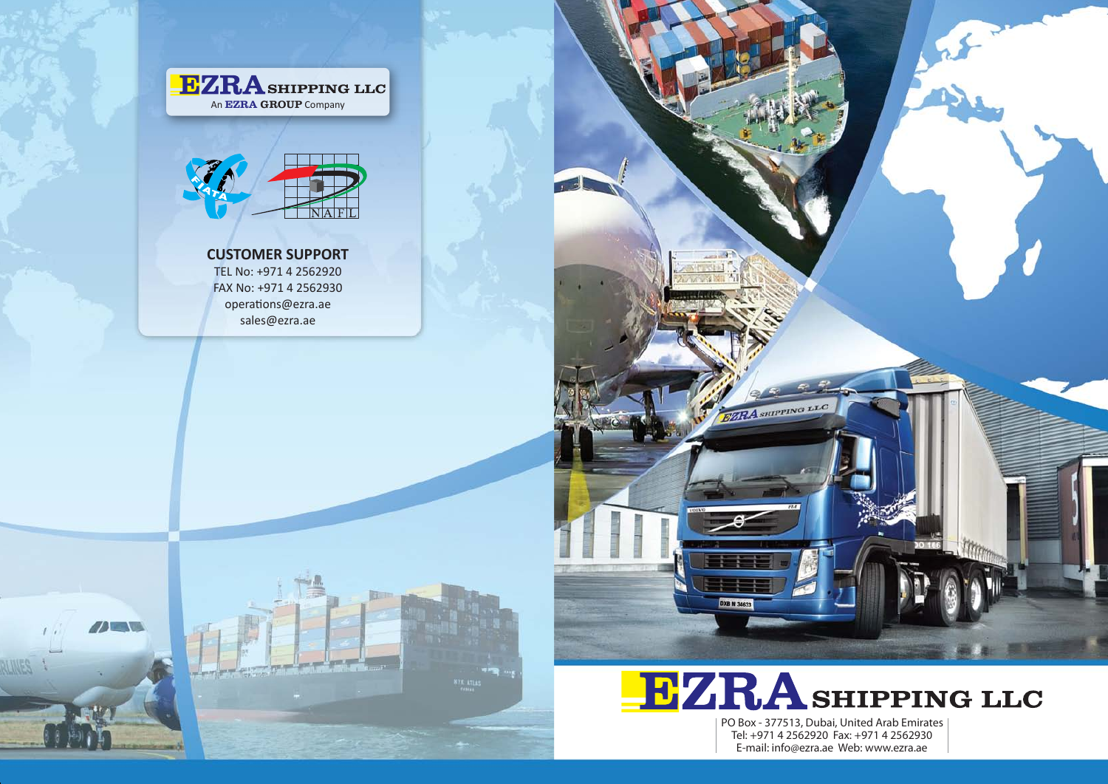# **CUSTOMER SUPPORT**

TEL No: +971 4 2562920 FAX No: +971 4 2562930 operations@ezra.ae sales@ezra.ae



 $\sqrt{2}$ 









Tel: +971 4 2562920 Fax: +971 4 2562930 E-mail: info@ezra.ae Web: www.ezra.ae